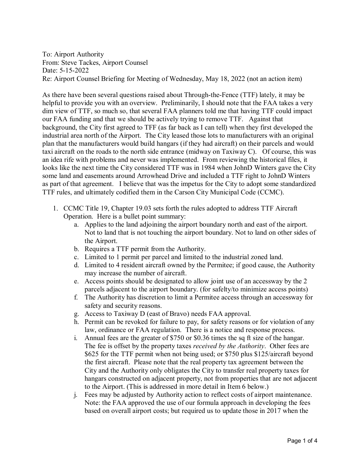To: Airport Authority From: Steve Tackes, Airport Counsel Date: 5-15-2022 Re: Airport Counsel Briefing for Meeting of Wednesday, May 18, 2022 (not an action item)

As there have been several questions raised about Through-the-Fence (TTF) lately, it may be helpful to provide you with an overview. Preliminarily, I should note that the FAA takes a very dim view of TTF, so much so, that several FAA planners told me that having TTF could impact our FAA funding and that we should be actively trying to remove TTF. Against that background, the City first agreed to TFF (as far back as I can tell) when they first developed the industrial area north of the Airport. The City leased those lots to manufacturers with an original plan that the manufacturers would build hangars (if they had aircraft) on their parcels and would taxi aircraft on the roads to the north side entrance (midway on Taxiway C). Of course, this was an idea rife with problems and never was implemented. From reviewing the historical files, it looks like the next time the City considered TTF was in 1984 when JohnD Winters gave the City some land and easements around Arrowhead Drive and included a TTF right to JohnD Winters as part of that agreement. I believe that was the impetus for the City to adopt some standardized TTF rules, and ultimately codified them in the Carson City Municipal Code (CCMC).

- 1. CCMC Title 19, Chapter 19.03 sets forth the rules adopted to address TTF Aircraft Operation. Here is a bullet point summary:
	- a. Applies to the land adjoining the airport boundary north and east of the airport. Not to land that is not touching the airport boundary. Not to land on other sides of the Airport.
	- b. Requires a TTF permit from the Authority.
	- c. Limited to 1 permit per parcel and limited to the industrial zoned land.
	- d. Limited to 4 resident aircraft owned by the Permitee; if good cause, the Authority may increase the number of aircraft.
	- e. Access points should be designated to allow joint use of an accessway by the 2 parcels adjacent to the airport boundary. (for safelty/to minimize access points)
	- f. The Authority has discretion to limit a Permitee access through an accessway for safety and security reasons.
	- g. Access to Taxiway D (east of Bravo) needs FAA approval.
	- h. Permit can be revoked for failure to pay, for safety reasons or for violation of any law, ordinance or FAA regulation. There is a notice and response process.
	- i. Annual fees are the greater of \$750 or \$0.36 times the sq ft size of the hangar. The fee is offset by the property taxes *received by the Authority*. Other fees are \$625 for the TTF permit when not being used; or \$750 plus \$125/aircraft beyond the first aircraft. Please note that the real property tax agreement between the City and the Authority only obligates the City to transfer real property taxes for hangars constructed on adjacent property, not from properties that are not adjacent to the Airport. (This is addressed in more detail in Item 6 below.)
	- j. Fees may be adjusted by Authority action to reflect costs of airport maintenance. Note: the FAA approved the use of our formula approach in developing the fees based on overall airport costs; but required us to update those in 2017 when the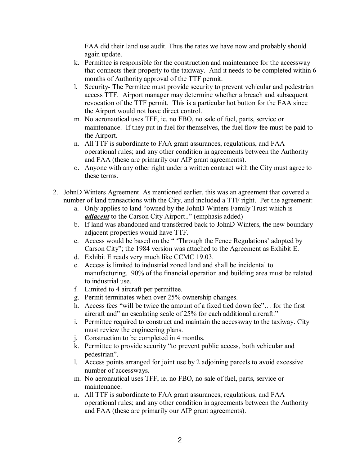FAA did their land use audit. Thus the rates we have now and probably should again update.

- k. Permittee is responsible for the construction and maintenance for the accessway that connects their property to the taxiway. And it needs to be completed within 6 months of Authority approval of the TTF permit.
- l. Security- The Permitee must provide security to prevent vehicular and pedestrian access TTF. Airport manager may determine whether a breach and subsequent revocation of the TTF permit. This is a particular hot button for the FAA since the Airport would not have direct control.
- m. No aeronautical uses TFF, ie. no FBO, no sale of fuel, parts, service or maintenance. If they put in fuel for themselves, the fuel flow fee must be paid to the Airport.
- n. All TTF is subordinate to FAA grant assurances, regulations, and FAA operational rules; and any other condition in agreements between the Authority and FAA (these are primarily our AIP grant agreements).
- o. Anyone with any other right under a written contract with the City must agree to these terms.
- 2. JohnD Winters Agreement. As mentioned earlier, this was an agreement that covered a number of land transactions with the City, and included a TTF right. Per the agreement:
	- a. Only applies to land "owned by the JohnD Winters Family Trust which is *adjacent* to the Carson City Airport.." (emphasis added)
	- b. If land was abandoned and transferred back to JohnD Winters, the new boundary adjacent properties would have TTF.
	- c. Access would be based on the " 'Through the Fence Regulations' adopted by Carson City"; the 1984 version was attached to the Agreement as Exhibit E.
	- d. Exhibit E reads very much like CCMC 19.03.
	- e. Access is limited to industrial zoned land and shall be incidental to manufacturing. 90% of the financial operation and building area must be related to industrial use.
	- f. Limited to 4 aircraft per permittee.
	- g. Permit terminates when over 25% ownership changes.
	- h. Access fees "will be twice the amount of a fixed tied down fee"… for the first aircraft and" an escalating scale of 25% for each additional aircraft."
	- i. Permittee required to construct and maintain the accessway to the taxiway. City must review the engineering plans.
	- j. Construction to be completed in 4 months.
	- k. Permittee to provide security "to prevent public access, both vehicular and pedestrian".
	- l. Access points arranged for joint use by 2 adjoining parcels to avoid excessive number of accessways.
	- m. No aeronautical uses TFF, ie. no FBO, no sale of fuel, parts, service or maintenance.
	- n. All TTF is subordinate to FAA grant assurances, regulations, and FAA operational rules; and any other condition in agreements between the Authority and FAA (these are primarily our AIP grant agreements).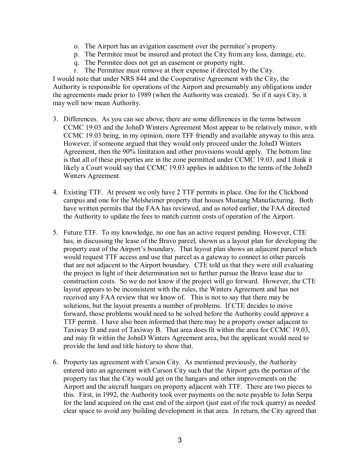- o. The Airport has an avigation easement over the permitee's property.
- p. The Permitee must be insured and protect the City from any loss, damage, etc.
- q. The Permitee does not get an easement or property right.
- r. The Permittee must remove at their expense if directed by the City.

I would note that under NRS 844 and the Cooperative Agreement with the City, the Authority is responsible for operations of the Airport and presumably any obligations under the agreements made prior to 1989 (when the Authority was created). So if it says City, it may well now mean Authority.

- 3. Differences. As you can see above, there are some differences in the terms between CCMC 19.03 and the JohnD Winters Agreement Most appear to be relatively minor, with CCMC 19.03 being, in my opinion, more TFF friendly and available anyway to this area. However, if someone argued that they would only proceed under the JohnD Winters Agreement, then the 90% limitation and other provisions would apply. The bottom line is that all of these properties are in the zone permitted under CCMC 19.03, and I think it likely a Court would say that CCMC 19.03 applies in addition to the terms of the JohnD Winters Agreement.
- 4. Existing TTF. At present we only have 2 TTF permits in place. One for the Clickbond campus and one for the Melsheimer property that houses Mustang Manufacturing. Both have written permits that the FAA has reviewed, and as noted earlier, the FAA directed the Authority to update the fees to match current costs of operation of the Airport.
- 5. Future TTF. To my knowledge, no one has an active request pending. However, CTE has, in discussing the lease of the Bravo parcel, shown us a layout plan for developing the property east of the Airport's boundary. That layout plan shows an adjacent parcel which would request TTF access and use that parcel as a gateway to connect to other parcels that are not adjacent to the Airport boundary. CTE told us that they were still evaluating the project in light of their determination not to further pursue the Bravo lease due to construction costs. So we do not know if the project will go forward. However, the CTE layout appears to be inconsistent with the rules, the Winters Agreement and has not received any FAA review that we know of. This is not to say that there may be solutions, but the layout presents a number of problems. If CTE decides to move forward, those problems would need to be solved before the Authority could approve a TTF permit. I have also been informed that there may be a property owner adjacent to Taxiway D and east of Taxiway B. That area does fit within the area for CCMC 19.03, and may fit within the JohnD Winters Agreement area, but the applicant would need to provide the land and title history to show that.
- 6. Property tax agreement with Carson City. As mentioned previously, the Authority entered into an agreement with Carson City such that the Airport gets the portion of the property tax that the City would get on the hangars and other improvements on the Airport and the aircraft hangars on property adjacent with TTF. There are two pieces to this. First, in 1992, the Authority took over payments on the note payable to John Serpa for the land acquired on the east end of the airport (just east of the rock quarry) as needed clear space to avoid any building development in that area. In return, the City agreed that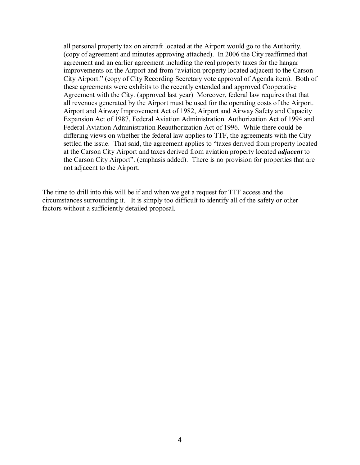all personal property tax on aircraft located at the Airport would go to the Authority. (copy of agreement and minutes approving attached). In 2006 the City reaffirmed that agreement and an earlier agreement including the real property taxes for the hangar improvements on the Airport and from "aviation property located adjacent to the Carson City Airport." (copy of City Recording Secretary vote approval of Agenda item). Both of these agreements were exhibits to the recently extended and approved Cooperative Agreement with the City. (approved last year) Moreover, federal law requires that that all revenues generated by the Airport must be used for the operating costs of the Airport. Airport and Airway Improvement Act of 1982, Airport and Airway Safety and Capacity Expansion Act of 1987, Federal Aviation Administration Authorization Act of 1994 and Federal Aviation Administration Reauthorization Act of 1996. While there could be differing views on whether the federal law applies to TTF, the agreements with the City settled the issue. That said, the agreement applies to "taxes derived from property located at the Carson City Airport and taxes derived from aviation property located *adjacent* to the Carson City Airport". (emphasis added). There is no provision for properties that are not adjacent to the Airport.

The time to drill into this will be if and when we get a request for TTF access and the circumstances surrounding it. It is simply too difficult to identify all of the safety or other factors without a sufficiently detailed proposal.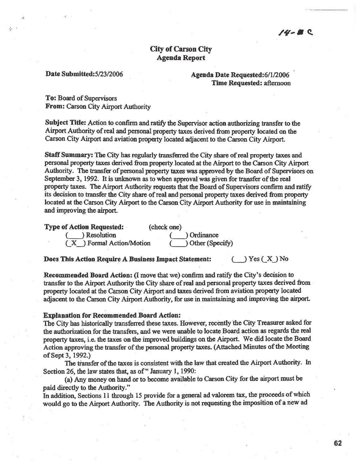## **City of Carson City Agenda Report**

#### Date Submitted: 5/23/2006

### Agenda Date Requested: 6/1/2006 **Time Requested: afternoon**

**To: Board of Supervisors** From: Carson City Airport Authority

Subject Title: Action to confirm and ratify the Supervisor action authorizing transfer to the Airport Authority of real and personal property taxes derived from property located on the Carson City Airport and aviation property located adjacent to the Carson City Airport.

Staff Summary: The City has regularly transferred the City share of real property taxes and personal property taxes derived from property located at the Airport to the Carson City Airport Authority. The transfer of personal property taxes was approved by the Board of Supervisors on September 3, 1992. It is unknown as to when approval was given for transfer of the real property taxes. The Airport Authority requests that the Board of Supervisors confirm and ratify its decision to transfer the City share of real and personal property taxes derived from property located at the Carson City Airport to the Carson City Airport Authority for use in maintaining and improving the airport.

| <b>Type of Action Requested:</b> | (check one)     |
|----------------------------------|-----------------|
| $($ $)$ Resolution               | ( ) Ordinance   |
| (X) Formal Action/Motion         | Other (Specify) |

Does This Action Require A Business Impact Statement:

 $\rightarrow$  Yes ( X ) No

Recommended Board Action: (I move that we) confirm and ratify the City's decision to transfer to the Airport Authority the City share of real and personal property taxes derived from property located at the Carson City Airport and taxes derived from aviation property located adjacent to the Carson City Airport Authority, for use in maintaining and improving the airport.

#### **Explanation for Recommended Board Action:**

The City has historically transferred these taxes. However, recently the City Treasurer asked for the authorization for the transfers, and we were unable to locate Board action as regards the real property taxes, i.e. the taxes on the improved buildings on the Airport. We did locate the Board Action approving the transfer of the personal property taxes. (Attached Minutes of the Meeting of Sept 3, 1992.)

The transfer of the taxes is consistent with the law that created the Airport Authority. In Section 26, the law states that, as of "January 1, 1990:

(a) Any money on hand or to become available to Carson City for the airport must be paid directly to the Authority."

In addition, Sections 11 through 15 provide for a general ad valorem tax, the proceeds of which would go to the Airport Authority. The Authority is not requesting the imposition of a new ad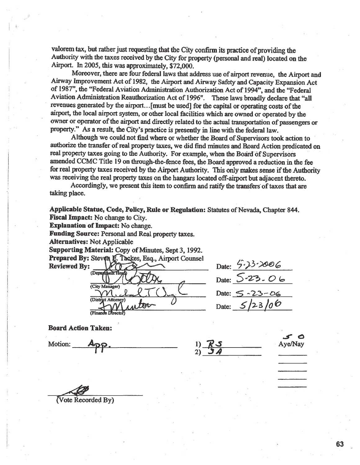valorem tax, but rather just requesting that the City confirm its practice of providing the Authority with the taxes received by the City for property (personal and real) located on the Airport. In 2005, this was approximately, \$72,000.

Moreover, there are four federal laws that address use of airport revenue, the Airport and Airway Improvement Act of 1982, the Airport and Airway Safety and Capacity Expansion Act of 1987", the "Federal Aviation Administration Authorization Act of 1994", and the "Federal Aviation Administration Reauthorization Act of 1996". These laws broadly declare that "all revenues generated by the airport...[must be used] for the capital or operating costs of the airport, the local airport system, or other local facilities which are owned or operated by the owner or operator of the airport and directly related to the actual transportation of passengers or property." As a result, the City's practice is presently in line with the federal law.

Although we could not find where or whether the Board of Supervisors took action to authorize the transfer of real property taxes, we did find minutes and Board Action predicated on real property taxes going to the Authority. For example, when the Board of Supervisors amended CCMC Title 19 on through-the-fence fees, the Board approved a reduction in the fee for real property taxes received by the Airport Authority. This only makes sense if the Authority was receiving the real property taxes on the hangars located off-airport but adjacent thereto.

Accordingly, we present this item to confirm and ratify the transfers of taxes that are taking place.

Applicable Statue, Code, Policy, Rule or Regulation: Statutes of Nevada, Chapter 844. **Fiscal Impact:** No change to City.

**Explanation of Impact:** No change.

**Funding Source: Personal and Real property taxes.** 

**Alternatives: Not Applicable** 

Supporting Material: Copy of Minutes, Sept 3, 1992.

Prepared By: Steven E. Tackes, Esq., Airport Counsel

**Reviewed By:** (Depard (City Manager) (District Attorney) **Finano** 

Date:  $\frac{5.33.006}{5.23.06}$ Date:  $5 - 23 - 06$ Date:

**Board Action Taken:** 

**Motion:** 

Ave/Nav

(Vote Recorded By)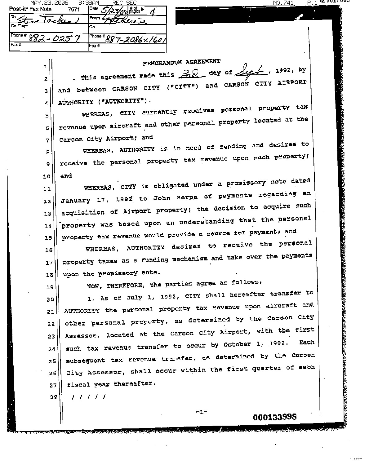| MHY.Z3.Z006                                            | н зант<br>REU SEU       |
|--------------------------------------------------------|-------------------------|
| Post-it® Fax Note<br>7671                              | l ⊃ate<br>$\alpha$      |
| مر ہتا<br>Tackers<br>$\overline{\mathcal{M}}$ is a set | <b>From</b><br>there is |
| Co Dept                                                | lСо.                    |
| Phone #<br>¢О<br>0257                                  | Phone # 887-2086 × 1601 |
| $F$ ax #                                               | Fax#                    |

| ı  | MEMORANDUM AGREEMENT                                                       |
|----|----------------------------------------------------------------------------|
| 2  | . This agreement made this $\mathbb{R}Q$ day of $\sqrt{\omega}$ , 1992, by |
| з  | and between CARSON CITY ("CITY") and CARSON CITY AIRPORT                   |
| 4  | AUTHORITY ("AUTHORITY").                                                   |
| 5  | WHEREAS, CITY currently receives personal property tax                     |
| 6  | revenue upon aircraft and other personal property located at the           |
| 7. | Carson City Airport; and                                                   |
| 8. | WHEREAS, AUTHORITY is in need of funding and desires to                    |
| 9. | receive the personal property tax revenue upon such property;              |
| ιo | and                                                                        |
| 11 | WHEREAS, CITY is obligated under a promissory note dated                   |
| 12 | January 17, 1992 to John Serpa of payments regarding an                    |
| 13 | acquisition of Airport property; the decision to acquire such              |
| 14 | property was based upon an understanding that the personal                 |
| 15 | property tax revenue would provide a source for payment; and               |
| 16 | WHEREAS, AUTHORITY desires to receive the personal                         |
| 17 | property taxes as a funding mechanism and take over the payments           |
| 18 | upon the promissory note.                                                  |
| 19 | NOW, THEREFORE, the parties agree as follows:                              |
| 20 | 1. As of July 1, 1992, CITY shall hereafter transfer to                    |
| 21 | AUTHORITY the personal property tax revenue upon aircraft and              |
| 22 | other personal property, as determined by the Carson City                  |
| 23 | Assessor, located at the Carson City Airport, with the first               |
| 24 | Each<br>such tax revenue transfer to occur by October 1, 1992.             |
| 25 | subsequent tax revenue transfer, as determined by the Carson               |
| 26 | City Assessor, shall occur within the first quarter of each                |
| 27 | fiscal year thereafter.                                                    |
| 28 | 11111                                                                      |
|    | $-1-$<br>000133998                                                         |

وتصفير لمرد وترشده وبالمراكب

<u>NO. 741</u>

 $P.1$ 

A

**LET AAST AAST** 

**A TANK A TANGAN SA MAYA NA MARATAN NA MARATAN SA TANA SA TANA SA TANA SA TANA SA TANA SA TANA SA TANA SA TANA** 

的复数 医皮肤皮肤病的 经合同的 医心包的 医无线性 医无线性神经 医无线性 人名英格兰人姓氏克里尔的变体地名含义是英国克里尔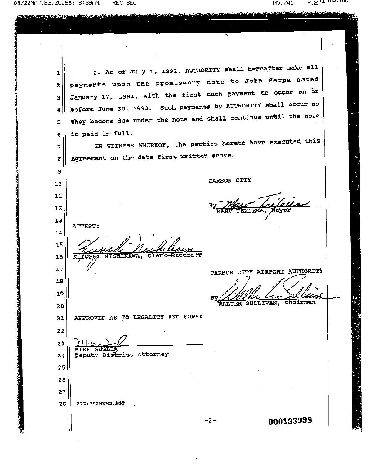05/23MAY.23.20068: 8:39AM REC SEC

ì.

NO.741  $P.2$  M2009/003

このことを、最後のことは、このことをいくことになった。 こうしょう こうしょう こうしょう こうしょう

| 1  | 2. As of July 1, 1992, AUTHORITY shall hereafter make all        |  |
|----|------------------------------------------------------------------|--|
| 2  | payments upon the promissory note to John Serpa dated            |  |
| з  | January 17, 1991, with the first such payment to occur on or     |  |
| 4  | before June 30, 1993. Such payments by AUTHORITY shall occur as  |  |
| s  | they become due under the note and shall continue until the note |  |
| 6  | is paid in full.                                                 |  |
| 7  | IN WITNESS WHEREOF, the parties hereto have executed this        |  |
| 8  | Agreement on the date first written above.                       |  |
| 9  |                                                                  |  |
| 10 | CARSON CITY                                                      |  |
| 11 |                                                                  |  |
| 12 |                                                                  |  |
| 13 | ATTEST:                                                          |  |
| 14 |                                                                  |  |
| 15 |                                                                  |  |
| 16 |                                                                  |  |
| 17 | CARSON CITY AIRPORT AUTHORITY                                    |  |
| 18 |                                                                  |  |
| 19 | Chairman<br><b>SULLIVAN,</b>                                     |  |
| 20 | WALTER                                                           |  |
| 21 | APPROVED AS TO LEGALITY AND FORM:                                |  |
| 22 |                                                                  |  |
| 23 |                                                                  |  |
| 24 | Deputy District Attorney                                         |  |
| 25 |                                                                  |  |
| 26 |                                                                  |  |
| 27 |                                                                  |  |
| 28 | 27G: 792MEMO. AGT                                                |  |
|    | 000133998<br>-2-                                                 |  |

<u>eres es propositivo de la contrata de la contrata de la contrata de la contrata de la contrata de la contrata de la contrata de la contrata de la contrata de la contrata de la contrata de la contrata de la contrata de la </u>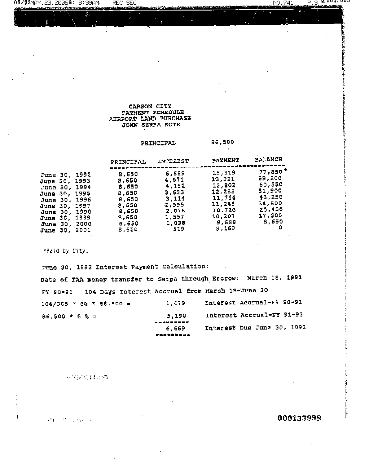#### CARSON CITY PAYMENT SCHEDULE AIRPORT LAND PURCHASE JOHN SERPA NOTE

**REC SEC** 

#### 86,500 PRINCIPAL  $\sim$

| $77,950$ *<br>15,319<br>6,669<br>8,650<br><b>June 30, 1992</b>                                                                                                                                                                                                                                                                                                                                                                                                                                                                                             |  |
|------------------------------------------------------------------------------------------------------------------------------------------------------------------------------------------------------------------------------------------------------------------------------------------------------------------------------------------------------------------------------------------------------------------------------------------------------------------------------------------------------------------------------------------------------------|--|
| 69,200<br>13,321<br>4,671<br>8,650<br>June 30, 1993<br>60,550<br>12,802<br>4,152<br>6,650<br><b>June 30, 1994</b><br>51,900<br>12,263<br>3,633<br>8.650<br>Ju <b>ne 30, 1</b> 995<br>43,250<br>11,764<br>3,114<br>6,650<br><b>June 30, 1996</b><br>34,600<br>11,245<br>.2,595<br>8,650<br><b>June 30, 1997</b><br>25,950<br>10,726<br>2,076<br>8.650<br><b>June 30, 1998</b><br>17,300<br>10,207<br>1,557<br>8,650<br><b>June 30, 1999</b><br>8,650<br>9,688<br>1,038<br>8.650<br><b>June 30, 2000</b><br>9,169<br>519<br>8.650<br>2001<br><b>June 30,</b> |  |

\*Paid by City.

 $05/23$ MAY.23.2006 $8:8:39$ AM,

<u>inga sa magangal ataun</u>

 $\ddot{\cdot}$ 

June 30, 1992 Interest Payment Calculation: Date of FAA money transfer to Serpa through Escrow: March 18, 1991 FY 90-91 104 Days Interest Accrual from March 18-June 30 Interest Accrual-FY 90-91 1,479  $104/365$  \* 6% \* 86,500 = Interest Accrual-FY 91-92  $86,500 * 6 % =$ 5,190 -------Interest Due June 30, 1992 6,669 =========

网络树脂类树脂

 $\mathcal{M}(\mathbf{r})$  , and  $\mathcal{M}(\mathbf{r})$ **CONTRACTOR** 

### 000133998

 $NO.741$ 

 $P.3$  @  $0.047004$ **. Secondary**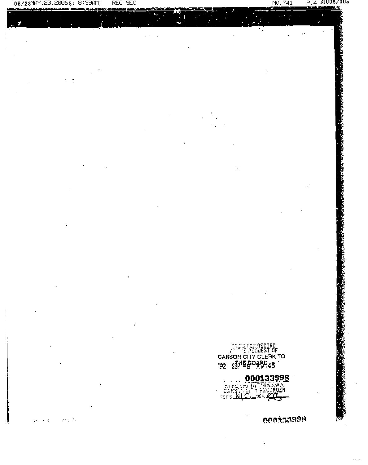#### $\mathbf{P}$ 3 L  $\sim$   $\sim$   $\sim$

F.

REC SEC

 $05/23$ MAY.23.2006 $8:8:39$ AM;

**LATING AFT** 

نوَّءُ ڏڻ<br>((\_ = + = +

**000133998** 

**CODARROR** 

NO.741

的 医子宫无法 化乙烯乙烯乙烯乙烯乙烯乙烯乙烯

Ċ.

P.4 L2 005/005<br><del>Termine</del>rante≾r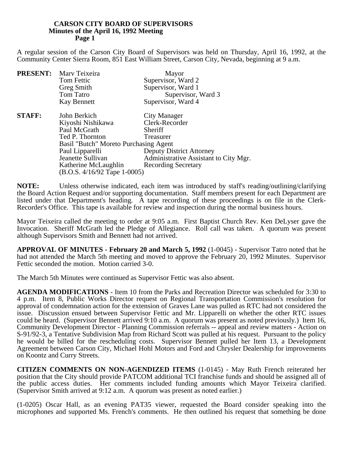A regular session of the Carson City Board of Supervisors was held on Thursday, April 16, 1992, at the Community Center Sierra Room, 851 East William Street, Carson City, Nevada, beginning at 9 a.m.

|               | <b>PRESENT:</b> Mary Teixeira         | Mayor                                 |
|---------------|---------------------------------------|---------------------------------------|
|               | Tom Fettic                            | Supervisor, Ward 2                    |
|               | Greg Smith                            | Supervisor, Ward 1                    |
|               | Tom Tatro                             | Supervisor, Ward 3                    |
|               | Kay Bennett                           | Supervisor, Ward 4                    |
| <b>STAFF:</b> | John Berkich                          | City Manager                          |
|               | Kiyoshi Nishikawa                     | Clerk-Recorder                        |
|               | Paul McGrath                          | Sheriff                               |
|               | Ted P. Thornton                       | Treasurer                             |
|               | Basil "Butch" Moreto Purchasing Agent |                                       |
|               | Paul Lipparelli                       | <b>Deputy District Attorney</b>       |
|               | Jeanette Sullivan                     | Administrative Assistant to City Mgr. |
|               | Katherine McLaughlin                  | <b>Recording Secretary</b>            |
|               | $(B.O.S. 4/16/92$ Tape 1-0005)        |                                       |

**NOTE:** Unless otherwise indicated, each item was introduced by staff's reading/outlining/clarifying the Board Action Request and/or supporting documentation. Staff members present for each Department are listed under that Department's heading. A tape recording of these proceedings is on file in the Clerk-Recorder's Office. This tape is available for review and inspection during the normal business hours.

Mayor Teixeira called the meeting to order at 9:05 a.m. First Baptist Church Rev. Ken DeLyser gave the Invocation. Sheriff McGrath led the Pledge of Allegiance. Roll call was taken. A quorum was present although Supervisors Smith and Bennett had not arrived.

**APPROVAL OF MINUTES - February 20 and March 5, 1992** (1-0045) - Supervisor Tatro noted that he had not attended the March 5th meeting and moved to approve the February 20, 1992 Minutes. Supervisor Fettic seconded the motion. Motion carried 3-0.

The March 5th Minutes were continued as Supervisor Fettic was also absent.

**AGENDA MODIFICATIONS** - Item 10 from the Parks and Recreation Director was scheduled for 3:30 to 4 p.m. Item 8, Public Works Director request on Regional Transportation Commission's resolution for approval of condemnation action for the extension of Graves Lane was pulled as RTC had not considered the issue. Discussion ensued between Supervisor Fettic and Mr. Lipparelli on whether the other RTC issues could be heard. (Supervisor Bennett arrived 9:10 a.m. A quorum was present as noted previously.) Item 16, Community Development Director - Planning Commission referrals -- appeal and review matters - Action on S-91/92-3, a Tentative Subdivision Map from Richard Scott was pulled at his request. Pursuant to the policy he would be billed for the rescheduling costs. Supervisor Bennett pulled her Item 13, a Development Agreement between Carson City, Michael Hohl Motors and Ford and Chrysler Dealership for improvements on Koontz and Curry Streets.

**CITIZEN COMMENTS ON NON-AGENDIZED ITEMS** (1-0145) - May Ruth French reiterated her position that the City should provide PATCOM additional TCI franchise funds and should be assigned all of the public access duties. Her comments included funding amounts which Mayor Teixeira clarified. (Supervisor Smith arrived at 9:12 a.m. A quorum was present as noted earlier.)

(1-0205) Oscar Hall, as an evening PAT35 viewer, requested the Board consider speaking into the microphones and supported Ms. French's comments. He then outlined his request that something be done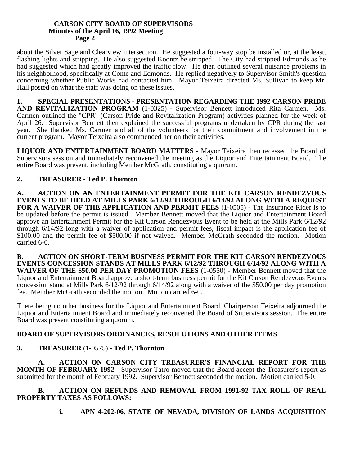about the Silver Sage and Clearview intersection. He suggested a four-way stop be installed or, at the least, flashing lights and stripping. He also suggested Koontz be stripped. The City had stripped Edmonds as he had suggested which had greatly improved the traffic flow. He then outlined several nuisance problems in his neighborhood, specifically at Conte and Edmonds. He replied negatively to Supervisor Smith's question concerning whether Public Works had contacted him. Mayor Teixeira directed Ms. Sullivan to keep Mr. Hall posted on what the staff was doing on these issues.

**1. SPECIAL PRESENTATIONS - PRESENTATION REGARDING THE 1992 CARSON PRIDE** AND REVITALIZATION PROGRAM (1-0325) - Supervisor Bennett introduced Rita Carmen. Ms. Carmen outlined the "CPR" (Carson Pride and Revitalization Program) activities planned for the week of April 26. Supervisor Bennett then explained the successful programs undertaken by CPR during the last year. She thanked Ms. Carmen and all of the volunteers for their commitment and involvement in the current program. Mayor Teixeira also commended her on their activities.

**LIQUOR AND ENTERTAINMENT BOARD MATTERS** - Mayor Teixeira then recessed the Board of Supervisors session and immediately reconvened the meeting as the Liquor and Entertainment Board. The entire Board was present, including Member McGrath, constituting a quorum.

# **2. TREASURER - Ted P. Thornton**

**A. ACTION ON AN ENTERTAINMENT PERMIT FOR THE KIT CARSON RENDEZVOUS EVENTS TO BE HELD AT MILLS PARK 6/12/92 THROUGH 6/14/92 ALONG WITH A REQUEST** FOR A WAIVER OF THE APPLICATION AND PERMIT FEES (1-0505) - The Insurance Rider is to be updated before the permit is issued. Member Bennett moved that the Liquor and Entertainment Board approve an Entertainment Permit for the Kit Carson Rendezvous Event to be held at the Mills Park 6/12/92 through 6/14/92 long with a waiver of application and permit fees, fiscal impact is the application fee of \$100.00 and the permit fee of \$500.00 if not waived. Member McGrath seconded the motion. Motion carried 6-0.

**B. ACTION ON SHORT-TERM BUSINESS PERMIT FOR THE KIT CARSON RENDEZVOUS EVENTS CONCESSION STANDS AT MILLS PARK 6/12/92 THROUGH 6/14/92 ALONG WITH A WAIVER OF THE \$50.00 PER DAY PROMOTION FEES** (1-0550) - Member Bennett moved that the Liquor and Entertainment Board approve a short-term business permit for the Kit Carson Rendezvous Events concession stand at Mills Park 6/12/92 through 6/14/92 along with a waiver of the \$50.00 per day promotion fee. Member McGrath seconded the motion. Motion carried 6-0.

There being no other business for the Liquor and Entertainment Board, Chairperson Teixeira adjourned the Liquor and Entertainment Board and immediately reconvened the Board of Supervisors session. The entire Board was present constituting a quorum.

# **BOARD OF SUPERVISORS ORDINANCES, RESOLUTIONS AND OTHER ITEMS**

# **3. TREASURER** (1-0575) - **Ted P. Thornton**

**A. ACTION ON CARSON CITY TREASURER'S FINANCIAL REPORT FOR THE MONTH OF FEBRUARY 1992** - Supervisor Tatro moved that the Board accept the Treasurer's report as submitted for the month of February 1992. Supervisor Bennett seconded the motion. Motion carried 5-0.

## **B. ACTION ON REFUNDS AND REMOVAL FROM 1991-92 TAX ROLL OF REAL PROPERTY TAXES AS FOLLOWS:**

**i. APN 4-202-06, STATE OF NEVADA, DIVISION OF LANDS ACQUISITION**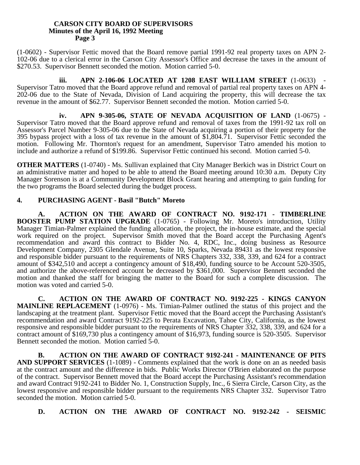(1-0602) - Supervisor Fettic moved that the Board remove partial 1991-92 real property taxes on APN 2- 102-06 due to a clerical error in the Carson City Assessor's Office and decrease the taxes in the amount of \$270.53. Supervisor Bennett seconded the motion. Motion carried 5-0.

**iii.** APN 2-106-06 LOCATED AT 1208 EAST WILLIAM STREET (1-0633) Supervisor Tatro moved that the Board approve refund and removal of partial real property taxes on APN 4- 202-06 due to the State of Nevada, Division of Land acquiring the property, this will decrease the tax revenue in the amount of \$62.77. Supervisor Bennett seconded the motion. Motion carried 5-0.

**iv. APN 9-305-06, STATE OF NEVADA ACQUISITION OF LAND** (1-0675) - Supervisor Tatro moved that the Board approve refund and removal of taxes from the 1991-92 tax roll on Assessor's Parcel Number 9-305-06 due to the State of Nevada acquiring a portion of their property for the 395 bypass project with a loss of tax revenue in the amount of \$1,804.71. Supervisor Fettic seconded the motion. Following Mr. Thornton's request for an amendment, Supervisor Tatro amended his motion to include and authorize a refund of \$199.86. Supervisor Fettic continued his second. Motion carried 5-0.

**OTHER MATTERS** (1-0740) - Ms. Sullivan explained that City Manager Berkich was in District Court on an administrative matter and hoped to be able to attend the Board meeting around 10:30 a.m. Deputy City Manager Sorenson is at a Community Development Block Grant hearing and attempting to gain funding for the two programs the Board selected during the budget process.

## **4. PURCHASING AGENT - Basil "Butch" Moreto**

**A. ACTION ON THE AWARD OF CONTRACT NO. 9192-171 - TIMBERLINE BOOSTER PUMP STATION UPGRADE** (1-0765) - Following Mr. Moreto's introduction, Utility Manager Timian-Palmer explained the funding allocation, the project, the in-house estimate, and the special work required on the project. Supervisor Smith moved that the Board accept the Purchasing Agent's recommendation and award this contract to Bidder No. 4, RDC, Inc., doing business as Resource Development Company, 2305 Glendale Avenue, Suite 10, Sparks, Nevada 89431 as the lowest responsive and responsible bidder pursuant to the requirements of NRS Chapters 332, 338, 339, and 624 for a contract amount of \$342,510 and accept a contingency amount of \$18,490, funding source to be Account 520-3505, and authorize the above-referenced account be decreased by \$361,000. Supervisor Bennett seconded the motion and thanked the staff for bringing the matter to the Board for such a complete discussion. The motion was voted and carried 5-0.

**C. ACTION ON THE AWARD OF CONTRACT NO. 9192-225 - KINGS CANYON MAINLINE REPLACEMENT** (1-0976) - Ms. Timian-Palmer outlined the status of this project and the landscaping at the treatment plant. Supervisor Fettic moved that the Board accept the Purchasing Assistant's recommendation and award Contract 9192-225 to Perata Excavation, Tahoe City, California, as the lowest responsive and responsible bidder pursuant to the requirements of NRS Chapter 332, 338, 339, and 624 for a contract amount of \$169,730 plus a contingency amount of \$16,973, funding source is 520-3505. Supervisor Bennett seconded the motion. Motion carried 5-0.

**B. ACTION ON THE AWARD OF CONTRACT 9192-241 - MAINTENANCE OF PITS AND SUPPORT SERVICES** (1-1089) - Comments explained that the work is done on an as needed basis at the contract amount and the difference in bids. Public Works Director O'Brien elaborated on the purpose of the contract. Supervisor Bennett moved that the Board accept the Purchasing Assistant's recommendation and award Contract 9192-241 to Bidder No. 1, Construction Supply, Inc., 6 Sierra Circle, Carson City, as the lowest responsive and responsible bidder pursuant to the requirements NRS Chapter 332. Supervisor Tatro seconded the motion. Motion carried 5-0.

**D. ACTION ON THE AWARD OF CONTRACT NO. 9192-242 - SEISMIC**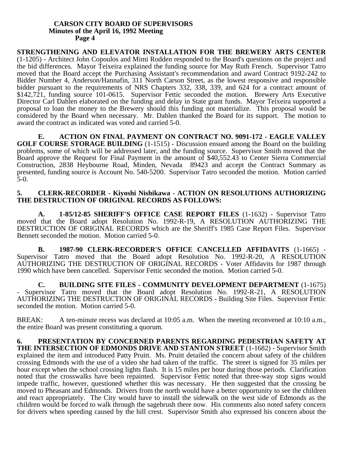**STRENGTHENING AND ELEVATOR INSTALLATION FOR THE BREWERY ARTS CENTER** (1-1205) - Architect John Copoulos and Mimi Rodden responded to the Board's questions on the project and the bid differences. Mayor Teixeira explained the funding source for May Ruth French. Supervisor Tatro moved that the Board accept the Purchasing Assistant's recommendation and award Contract 9192-242 to Bidder Number 4, Anderson/Hannafin, 311 North Carson Street, as the lowest responsive and responsible bidder pursuant to the requirements of NRS Chapters 332, 338, 339, and 624 for a contract amount of \$142,721, funding source 101-0615. Supervisor Fettic seconded the motion. Brewery Arts Executive Director Carl Dahlen elaborated on the funding and delay in State grant funds. Mayor Teixeira supported a proposal to loan the money to the Brewery should this funding not materialize. This proposal would be considered by the Board when necessary. Mr. Dahlen thanked the Board for its support. The motion to award the contract as indicated was voted and carried 5-0.

**E. ACTION ON FINAL PAYMENT ON CONTRACT NO. 9091-172 - EAGLE VALLEY GOLF COURSE STORAGE BUILDING** (1-1515) - Discussion ensued among the Board on the building problems, some of which will be addressed later, and the funding source. Supervisor Smith moved that the Board approve the Request for Final Payment in the amount of \$40,552.43 to Center Sierra Commercial Construction, 2838 Heybourne Road, Minden, Nevada 89423 and accept the Contract Summary as presented, funding source is Account No. 540-5200. Supervisor Tatro seconded the motion. Motion carried 5-0.

### **5. CLERK-RECORDER - Kiyoshi Nishikawa - ACTION ON RESOLUTIONS AUTHORIZING THE DESTRUCTION OF ORIGINAL RECORDS AS FOLLOWS:**

**A. 1-85/12-85 SHERIFF'S OFFICE CASE REPORT FILES** (1-1632) - Supervisor Tatro moved that the Board adopt Resolution No. 1992-R-19, A RESOLUTION AUTHORIZING THE DESTRUCTION OF ORIGINAL RECORDS which are the Sheriff's 1985 Case Report Files. Supervisor Bennett seconded the motion. Motion carried 5-0.

**B. 1987-90 CLERK-RECORDER'S OFFICE CANCELLED AFFIDAVITS** (1-1665) - Supervisor Tatro moved that the Board adopt Resolution No. 1992-R-20, A RESOLUTION AUTHORIZING THE DESTRUCTION OF ORIGINAL RECORDS - Voter Affidavits for 1987 through 1990 which have been cancelled. Supervisor Fettic seconded the motion. Motion carried 5-0.

**C. BUILDING SITE FILES - COMMUNITY DEVELOPMENT DEPARTMENT** (1-1675) - Supervisor Tatro moved that the Board adopt Resolution No. 1992-R-21, A RESOLUTION AUTHORIZING THE DESTRUCTION OF ORIGINAL RECORDS - Building Site Files. Supervisor Fettic seconded the motion. Motion carried 5-0.

BREAK: A ten-minute recess was declared at 10:05 a.m. When the meeting reconvened at 10:10 a.m., the entire Board was present constituting a quorum.

**6. PRESENTATION BY CONCERNED PARENTS REGARDING PEDESTRIAN SAFETY AT THE INTERSECTION OF EDMONDS DRIVE AND STANTON STREET** (1-1682) - Supervisor Smith explained the item and introduced Patty Pruitt. Ms. Pruitt detailed the concern about safety of the children crossing Edmonds with the use of a video she had taken of the traffic. The street is signed for 35 miles per hour except when the school crossing lights flash. It is 15 miles per hour during those periods. Clarification noted that the crosswalks have been repainted. Supervisor Fettic noted that three-way stop signs would impede traffic, however, questioned whether this was necessary. He then suggested that the crossing be moved to Pheasant and Edmonds. Drivers from the north would have a better opportunity to see the children and react appropriately. The City would have to install the sidewalk on the west side of Edmonds as the children would be forced to walk through the sagebrush there now. His comments also noted safety concern for drivers when speeding caused by the hill crest. Supervisor Smith also expressed his concern about the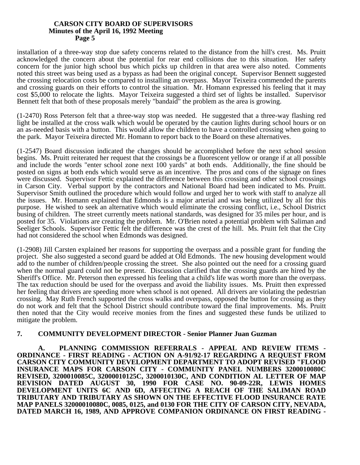installation of a three-way stop due safety concerns related to the distance from the hill's crest. Ms. Pruitt acknowledged the concern about the potential for rear end collisions due to this situation. Her safety concern for the junior high school bus which picks up children in that area were also noted. Comments noted this street was being used as a bypass as had been the original concept. Supervisor Bennett suggested the crossing relocation costs be compared to installing an overpass. Mayor Teixeira commended the parents and crossing guards on their efforts to control the situation. Mr. Homann expressed his feeling that it may cost \$5,000 to relocate the lights. Mayor Teixeira suggested a third set of lights be installed. Supervisor Bennett felt that both of these proposals merely "bandaid" the problem as the area is growing.

(1-2470) Ross Peterson felt that a three-way stop was needed. He suggested that a three-way flashing red light be installed at the cross walk which would be operated by the caution lights during school hours or on an as-needed basis with a button. This would allow the children to have a controlled crossing when going to the park. Mayor Teixeira directed Mr. Homann to report back to the Board on these alternatives.

(1-2547) Board discussion indicated the changes should be accomplished before the next school session begins. Ms. Pruitt reiterated her request that the crossings be a fluorescent yellow or orange if at all possible and include the words "enter school zone next 100 yards" at both ends. Additionally, the fine should be posted on signs at both ends which would serve as an incentive. The pros and cons of the signage on fines were discussed. Supervisor Fettic explained the difference between this crossing and other school crossings in Carson City. Verbal support by the contractors and National Board had been indicated to Ms. Pruitt. Supervisor Smith outlined the procedure which would follow and urged her to work with staff to analyze all the issues. Mr. Homann explained that Edmonds is a major arterial and was being utilized by all for this purpose. He wished to seek an alternative which would eliminate the crossing conflict, i.e., School District busing of children. The street currently meets national standards, was designed for 35 miles per hour, and is posted for 35. Violations are creating the problem. Mr. O'Brien noted a potential problem with Saliman and Seeliger Schools. Supervisor Fettic felt the difference was the crest of the hill. Ms. Pruitt felt that the City had not considered the school when Edmonds was designed.

(1-2908) Jill Carsten explained her reasons for supporting the overpass and a possible grant for funding the project. She also suggested a second guard be added at Old Edmonds. The new housing development would add to the number of children/people crossing the street. She also pointed out the need for a crossing guard when the normal guard could not be present. Discussion clarified that the crossing guards are hired by the Sheriff's Office. Mr. Peterson then expressed his feeling that a child's life was worth more than the overpass. The tax reduction should be used for the overpass and avoid the liability issues. Ms. Pruitt then expressed her feeling that drivers are speeding more when school is not opened. All drivers are violating the pedestrian crossing. May Ruth French supported the cross walks and overpass, opposed the button for crossing as they do not work and felt that the School District should contribute toward the final improvements. Ms. Pruitt then noted that the City would receive monies from the fines and suggested these funds be utilized to mitigate the problem.

## **7. COMMUNITY DEVELOPMENT DIRECTOR - Senior Planner Juan Guzman**

**A. PLANNING COMMISSION REFERRALS - APPEAL AND REVIEW ITEMS - ORDINANCE - FIRST READING - ACTION ON A-91/92-17 REGARDING A REQUEST FROM CARSON CITY COMMUNITY DEVELOPMENT DEPARTMENT TO ADOPT REVISED "FLOOD INSURANCE MAPS FOR CARSON CITY - COMMUNITY PANEL NUMBERS 3200010080C REVISED, 3200010085C, 32000010125C, 3200010130C, AND CONDITION AL LETTER OF MAP REVISION DATED AUGUST 30, 1990 FOR CASE NO. 90-09-22R, LEWIS HOMES DEVELOPMENT UNITS 6C AND 6D, AFFECTING A REACH OF THE SALIMAN ROAD TRIBUTARY AND TRIBUTARY AS SHOWN ON THE EFFECTIVE FLOOD INSURANCE RATE MAP PANELS 32000010080C, 0085, 0125, and 0130 FOR THE CITY OF CARSON CITY, NEVADA, DATED MARCH 16, 1989, AND APPROVE COMPANION ORDINANCE ON FIRST READING -**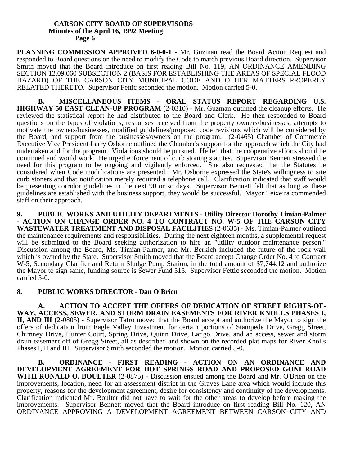PLANNING COMMISSION APPROVED 6-0-0-1 - Mr. Guzman read the Board Action Request and responded to Board questions on the need to modify the Code to match previous Board direction. Supervisor Smith moved that the Board introduce on first reading Bill No. 119, AN ORDINANCE AMENDING SECTION 12.09.060 SUBSECTION 2 (BASIS FOR ESTABLISHING THE AREAS OF SPECIAL FLOOD HAZARD) OF THE CARSON CITY MUNICIPAL CODE AND OTHER MATTERS PROPERLY RELATED THERETO. Supervisor Fettic seconded the motion. Motion carried 5-0.

**B. MISCELLANEOUS ITEMS - ORAL STATUS REPORT REGARDING U.S. HIGHWAY 50 EAST CLEAN-UP PROGRAM** (2-0310) - Mr. Guzman outlined the cleanup efforts. He reviewed the statistical report he had distributed to the Board and Clerk. He then responded to Board questions on the types of violations, responses received from the property owners/businesses, attempts to motivate the owners/businesses, modified guidelines/proposed code revisions which will be considered by the Board, and support from the businesses/owners on the program. (2-0465) Chamber of Commerce Executive Vice President Larry Osborne outlined the Chamber's support for the approach which the City had undertaken and for the program. Violations should be pursued. He felt that the cooperative efforts should be continued and would work. He urged enforcement of curb stoning statutes. Supervisor Bennett stressed the need for this program to be ongoing and vigilantly enforced. She also requested that the Statutes be considered when Code modifications are presented. Mr. Osborne expressed the State's willingness to site curb stoners and that notification merely required a telephone call. Clarification indicated that staff would be presenting corridor guidelines in the next 90 or so days. Supervisor Bennett felt that as long as these guidelines are established with the business support, they would be successful. Mayor Teixeira commended staff on their approach.

**9. PUBLIC WORKS AND UTILITY DEPARTMENTS - Utility Director Dorothy Timian-Palmer - ACTION ON CHANGE ORDER NO. 4 TO CONTRACT NO. W-5 OF THE CARSON CITY WASTEWATER TREATMENT AND DISPOSAL FACILITIES** (2-0635) - Ms. Timian-Palmer outlined the maintenance requirements and responsibilities. During the next eighteen months, a supplemental request will be submitted to the Board seeking authorization to hire an "utility outdoor maintenance person." Discussion among the Board, Ms. Timian-Palmer, and Mr. Berkich included the future of the rock wall which is owned by the State. Supervisor Smith moved that the Board accept Change Order No. 4 to Contract W-5, Secondary Clarifier and Return Sludge Pump Station, in the total amount of \$7,744.12 and authorize the Mayor to sign same, funding source is Sewer Fund 515. Supervisor Fettic seconded the motion. Motion carried 5-0.

## **8. PUBLIC WORKS DIRECTOR - Dan O'Brien**

**A. ACTION TO ACCEPT THE OFFERS OF DEDICATION OF STREET RIGHTS-OF-WAY, ACCESS, SEWER, AND STORM DRAIN EASEMENTS FOR RIVER KNOLLS PHASES I, II, AND III** (2-0805) - Supervisor Tatro moved that the Board accept and authorize the Mayor to sign the offers of dedication from Eagle Valley Investment for certain portions of Stampede Drive, Gregg Street, Chimney Drive, Hunter Court, Spring Drive, Quinn Drive, Latigo Drive, and an access, sewer and storm drain easement off of Gregg Street, all as described and shown on the recorded plat maps for River Knolls Phases I, II and III. Supervisor Smith seconded the motion. Motion carried 5-0.

**B. ORDINANCE - FIRST READING - ACTION ON AN ORDINANCE AND DEVELOPMENT AGREEMENT FOR HOT SPRINGS ROAD AND PROPOSED GONI ROAD WITH RONALD O. BOULTER** (2-0875) - Discussion ensued among the Board and Mr. O'Brien on the improvements, location, need for an assessment district in the Graves Lane area which would include this property, reasons for the development agreement, desire for consistency and continuity of the developments. Clarification indicated Mr. Boulter did not have to wait for the other areas to develop before making the improvements. Supervisor Bennett moved that the Board introduce on first reading Bill No. 120, AN ORDINANCE APPROVING A DEVELOPMENT AGREEMENT BETWEEN CARSON CITY AND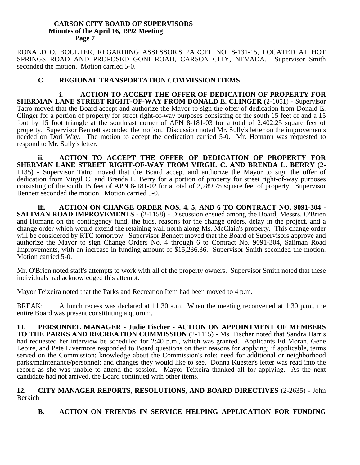RONALD O. BOULTER, REGARDING ASSESSOR'S PARCEL NO. 8-131-15, LOCATED AT HOT SPRINGS ROAD AND PROPOSED GONI ROAD, CARSON CITY, NEVADA. Supervisor Smith seconded the motion. Motion carried 5-0.

## **C. REGIONAL TRANSPORTATION COMMISSION ITEMS**

**i. ACTION TO ACCEPT THE OFFER OF DEDICATION OF PROPERTY FOR SHERMAN LANE STREET RIGHT-OF-WAY FROM DONALD E. CLINGER** (2-1051) - Supervisor Tatro moved that the Board accept and authorize the Mayor to sign the offer of dedication from Donald E. Clinger for a portion of property for street right-of-way purposes consisting of the south 15 feet of and a 15 foot by 15 foot triangle at the southeast corner of APN 8-181-03 for a total of 2,402.25 square feet of property. Supervisor Bennett seconded the motion. Discussion noted Mr. Sully's letter on the improvements needed on Dori Way. The motion to accept the dedication carried 5-0. Mr. Homann was requested to respond to Mr. Sully's letter.

**ii. ACTION TO ACCEPT THE OFFER OF DEDICATION OF PROPERTY FOR SHERMAN LANE STREET RIGHT-OF-WAY FROM VIRGIL C. AND BRENDA L. BERRY** (2- 1135) - Supervisor Tatro moved that the Board accept and authorize the Mayor to sign the offer of dedication from Virgil C. and Brenda L. Berry for a portion of property for street right-of-way purposes consisting of the south 15 feet of APN 8-181-02 for a total of 2,289.75 square feet of property. Supervisor Bennett seconded the motion. Motion carried 5-0.

**iii. ACTION ON CHANGE ORDER NOS. 4, 5, AND 6 TO CONTRACT NO. 9091-304 - SALIMAN ROAD IMPROVEMENTS** - (2-1158) - Discussion ensued among the Board, Messrs. O'Brien and Homann on the contingency fund, the bids, reasons for the change orders, delay in the project, and a change order which would extend the retaining wall north along Ms. McClain's property. This change order will be considered by RTC tomorrow. Supervisor Bennett moved that the Board of Supervisors approve and authorize the Mayor to sign Change Orders No. 4 through 6 to Contract No. 9091-304, Saliman Road Improvements, with an increase in funding amount of \$15,236.36. Supervisor Smith seconded the motion. Motion carried 5-0.

Mr. O'Brien noted staff's attempts to work with all of the property owners. Supervisor Smith noted that these individuals had acknowledged this attempt.

Mayor Teixeira noted that the Parks and Recreation Item had been moved to 4 p.m.

BREAK: A lunch recess was declared at 11:30 a.m. When the meeting reconvened at 1:30 p.m., the entire Board was present constituting a quorum.

**11. PERSONNEL MANAGER - Judie Fischer - ACTION ON APPOINTMENT OF MEMBERS TO THE PARKS AND RECREATION COMMISSION** (2-1415) - Ms. Fischer noted that Sandra Harris had requested her interview be scheduled for 2:40 p.m., which was granted. Applicants Ed Moran, Gene Lepire, and Pete Livermore responded to Board questions on their reasons for applying; if applicable, terms served on the Commission; knowledge about the Commission's role; need for additional or neighborhood parks/maintenance/personnel; and changes they would like to see. Donna Kuester's letter was read into the record as she was unable to attend the session. Mayor Teixeira thanked all for applying. As the next candidate had not arrived, the Board continued with other items.

**12. CITY MANAGER REPORTS, RESOLUTIONS, AND BOARD DIRECTIVES** (2-2635) - John Berkich

**B. ACTION ON FRIENDS IN SERVICE HELPING APPLICATION FOR FUNDING**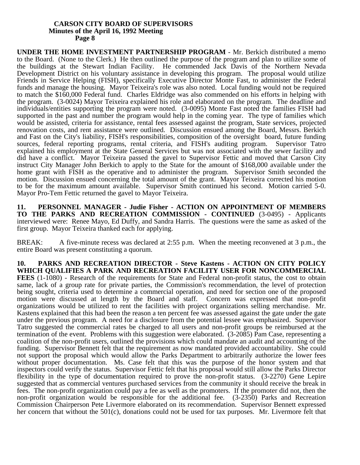**UNDER THE HOME INVESTMENT PARTNERSHIP PROGRAM** - Mr. Berkich distributed a memo to the Board. (None to the Clerk.) He then outlined the purpose of the program and plan to utilize some of the buildings at the Stewart Indian Facility. He commended Jack Davis of the Northern Nevada Development District on his voluntary assistance in developing this program. The proposal would utilize Friends in Service Helping (FISH), specifically Executive Director Monte Fast, to administer the Federal funds and manage the housing. Mayor Teixeira's role was also noted. Local funding would not be required to match the \$160,000 Federal fund. Charles Eldridge was also commended on his efforts in helping with the program. (3-0024) Mayor Teixeira explained his role and elaborated on the program. The deadline and individuals/entities supporting the program were noted. (3-0095) Monte Fast noted the families FISH had supported in the past and number the program would help in the coming year. The type of families which would be assisted, criteria for assistance, rental fees assessed against the program, State services, projected renovation costs, and rent assistance were outlined. Discussion ensued among the Board, Messrs. Berkich and Fast on the City's liability, FISH's responsibilities, composition of the oversight board, future funding sources, federal reporting programs, rental criteria, and FISH's auditing program. Supervisor Tatro explained his employment at the State General Services but was not associated with the sewer facility and did have a conflict. Mayor Teixeira passed the gavel to Supervisor Fettic and moved that Carson City instruct City Manager John Berkich to apply to the State for the amount of \$168,000 available under the home grant with FISH as the operative and to administer the program. Supervisor Smith seconded the motion. Discussion ensued concerning the total amount of the grant. Mayor Teixeira corrected his motion to be for the maximum amount available. Supervisor Smith continued his second. Motion carried 5-0. Mayor Pro-Tem Fettic returned the gavel to Mayor Teixeira.

**11. PERSONNEL MANAGER - Judie Fisher - ACTION ON APPOINTMENT OF MEMBERS TO THE PARKS AND RECREATION COMMISSION - CONTINUED** (3-0495) - Applicants interviewed were: Renee Mayo, Ed Duffy, and Sandra Harris. The questions were the same as asked of the first group. Mayor Teixeira thanked each for applying.

BREAK: A five-minute recess was declared at 2:55 p.m. When the meeting reconvened at 3 p.m., the entire Board was present constituting a quorum.

**10. PARKS AND RECREATION DIRECTOR - Steve Kastens - ACTION ON CITY POLICY WHICH QUALIFIES A PARK AND RECREATION FACILITY USER FOR NONCOMMERCIAL FEES** (1-1080) - Research of the requirements for State and Federal non-profit status, the cost to obtain same, lack of a group rate for private parties, the Commission's recommendation, the level of protection being sought, criteria used to determine a commercial operation, and need for section one of the proposed motion were discussed at length by the Board and staff. Concern was expressed that non-profit organizations would be utilized to rent the facilities with project organizations selling merchandise. Mr. Kastens explained that this had been the reason a ten percent fee was assessed against the gate under the gate under the previous program. A need for a disclosure from the potential lessee was emphasized. Supervisor Tatro suggested the commercial rates be charged to all users and non-profit groups be reimbursed at the termination of the event. Problems with this suggestion were elaborated. (3-2085) Pam Case, representing a coalition of the non-profit users, outlined the provisions which could mandate an audit and accounting of the funding. Supervisor Bennett felt that the requirement as now mandated provided accountability. She could not support the proposal which would allow the Parks Department to arbitrarily authorize the lower fees without proper documentation. Ms. Case felt that this was the purpose of the honor system and that inspectors could verify the status. Supervisor Fettic felt that his proposal would still allow the Parks Director flexibility in the type of documentation required to prove the non-profit status. (3-2270) Gene Lepire suggested that as commercial ventures purchased services from the community it should receive the break in fees. The non-profit organization could pay a fee as well as the promoters. If the promoter did not, then the non-profit organization would be responsible for the additional fee. (3-2350) Parks and Recreation Commission Chairperson Pete Livermore elaborated on its recommendation. Supervisor Bennett expressed her concern that without the 501(c), donations could not be used for tax purposes. Mr. Livermore felt that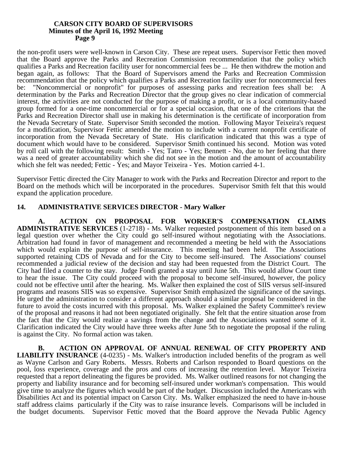the non-profit users were well-known in Carson City. These are repeat users. Supervisor Fettic then moved that the Board approve the Parks and Recreation Commission recommendation that the policy which qualifies a Parks and Recreation facility user for noncommercial fees be ... He then withdrew the motion and began again, as follows: That the Board of Supervisors amend the Parks and Recreation Commission recommendation that the policy which qualifies a Parks and Recreation facility user for noncommercial fees be: "Noncommercial or nonprofit" for purposes of assessing parks and recreation fees shall be: A determination by the Parks and Recreation Director that the group gives no clear indication of commercial interest, the activities are not conducted for the purpose of making a profit, or is a local community-based group formed for a one-time noncommercial or for a special occasion, that one of the criterions that the Parks and Recreation Director shall use in making his determination is the certificate of incorporation from the Nevada Secretary of State. Supervisor Smith seconded the motion. Following Mayor Teixeira's request for a modification, Supervisor Fettic amended the motion to include with a current nonprofit certificate of incorporation from the Nevada Secretary of State. His clarification indicated that this was a type of document which would have to be considered. Supervisor Smith continued his second. Motion was voted by roll call with the following result: Smith - Yes; Tatro - Yes; Bennett - No, due to her feeling that there was a need of greater accountability which she did not see in the motion and the amount of accountability which she felt was needed; Fettic - Yes; and Mayor Teixeira - Yes. Motion carried 4-1.

Supervisor Fettic directed the City Manager to work with the Parks and Recreation Director and report to the Board on the methods which will be incorporated in the procedures. Supervisor Smith felt that this would expand the application procedure.

## **14. ADMINISTRATIVE SERVICES DIRECTOR - Mary Walker**

**A. ACTION ON PROPOSAL FOR WORKER'S COMPENSATION CLAIMS ADMINISTRATIVE SERVICES** (1-2718) - Ms. Walker requested postponement of this item based on a legal question over whether the City could go self-insured without negotiating with the Associations. Arbitration had found in favor of management and recommended a meeting be held with the Associations which would explain the purpose of self-insurance. This meeting had been held. The Associations supported retaining CDS of Nevada and for the City to become self-insured. The Associations' counsel recommended a judicial review of the decision and stay had been requested from the District Court. The City had filed a counter to the stay. Judge Fondi granted a stay until June 5th. This would allow Court time to hear the issue. The City could proceed with the proposal to become self-insured, however, the policy could not be effective until after the hearing. Ms. Walker then explained the cost of SIIS versus self-insured programs and reasons SIIS was so expensive. Supervisor Smith emphasized the significance of the savings. He urged the administration to consider a different approach should a similar proposal be considered in the future to avoid the costs incurred with this proposal. Ms. Walker explained the Safety Committee's review of the proposal and reasons it had not been negotiated originally. She felt that the entire situation arose from the fact that the City would realize a savings from the change and the Associations wanted some of it. Clarification indicated the City would have three weeks after June 5th to negotiate the proposal if the ruling is against the City. No formal action was taken.

**B. ACTION ON APPROVAL OF ANNUAL RENEWAL OF CITY PROPERTY AND LIABILITY INSURANCE** (4-0235) - Ms. Walker's introduction included benefits of the program as well as Wayne Carlson and Gary Roberts. Messrs. Roberts and Carlson responded to Board questions on the pool, loss experience, coverage and the pros and cons of increasing the retention level. Mayor Teixeira requested that a report delineating the figures be provided. Ms. Walker outlined reasons for not changing the property and liability insurance and for becoming self-insured under workman's compensation. This would give time to analyze the figures which would be part of the budget. Discussion included the Americans with Disabilities Act and its potential impact on Carson City. Ms. Walker emphasized the need to have in-house staff address claims particularly if the City was to raise insurance levels. Comparisons will be included in the budget documents. Supervisor Fettic moved that the Board approve the Nevada Public Agency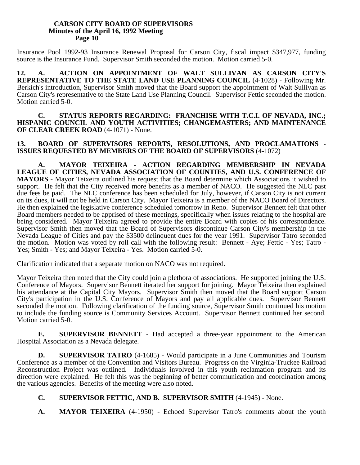Insurance Pool 1992-93 Insurance Renewal Proposal for Carson City, fiscal impact \$347,977, funding source is the Insurance Fund. Supervisor Smith seconded the motion. Motion carried 5-0.

**12. A. ACTION ON APPOINTMENT OF WALT SULLIVAN AS CARSON CITY'S REPRESENTATIVE TO THE STATE LAND USE PLANNING COUNCIL** (4-1028) - Following Mr. Berkich's introduction, Supervisor Smith moved that the Board support the appointment of Walt Sullivan as Carson City's representative to the State Land Use Planning Council. Supervisor Fettic seconded the motion. Motion carried 5-0.

**C. STATUS REPORTS REGARDING: FRANCHISE WITH T.C.I. OF NEVADA, INC.; HISPANIC COUNCIL AND YOUTH ACTIVITIES; CHANGEMASTERS; AND MAINTENANCE OF CLEAR CREEK ROAD** (4-1071) - None.

## **13. BOARD OF SUPERVISORS REPORTS, RESOLUTIONS, AND PROCLAMATIONS - ISSUES REQUESTED BY MEMBERS OF THE BOARD OF SUPERVISORS** (4-1072)

**A. MAYOR TEIXEIRA - ACTION REGARDING MEMBERSHIP IN NEVADA LEAGUE OF CITIES, NEVADA ASSOCIATION OF COUNTIES, AND U.S. CONFERENCE OF MAYORS** - Mayor Teixeira outlined his request that the Board determine which Associations it wished to support. He felt that the City received more benefits as a member of NACO. He suggested the NLC past due fees be paid. The NLC conference has been scheduled for July, however, if Carson City is not current on its dues, it will not be held in Carson City. Mayor Teixeira is a member of the NACO Board of Directors. He then explained the legislative conference scheduled tomorrow in Reno. Supervisor Bennett felt that other Board members needed to be apprised of these meetings, specifically when issues relating to the hospital are being considered. Mayor Teixeira agreed to provide the entire Board with copies of his correspondence. Supervisor Smith then moved that the Board of Supervisors discontinue Carson City's membership in the Nevada League of Cities and pay the \$3500 delinquent dues for the year 1991. Supervisor Tatro seconded the motion. Motion was voted by roll call with the following result: Bennett - Aye; Fettic - Yes; Tatro - Yes; Smith - Yes; and Mayor Teixeira - Yes. Motion carried 5-0.

Clarification indicated that a separate motion on NACO was not required.

Mayor Teixeira then noted that the City could join a plethora of associations. He supported joining the U.S. Conference of Mayors. Supervisor Bennett iterated her support for joining. Mayor Teixeira then explained his attendance at the Capital City Mayors. Supervisor Smith then moved that the Board support Carson City's participation in the U.S. Conference of Mayors and pay all applicable dues. Supervisor Bennett seconded the motion. Following clarification of the funding source, Supervisor Smith continued his motion to include the funding source is Community Services Account. Supervisor Bennett continued her second. Motion carried 5-0.

**E. SUPERVISOR BENNETT** - Had accepted a three-year appointment to the American Hospital Association as a Nevada delegate.

**D.** SUPERVISOR TATRO (4-1685) - Would participate in a June Communities and Tourism Conference as a member of the Convention and Visitors Bureau. Progress on the Virginia-Truckee Railroad Reconstruction Project was outlined. Individuals involved in this youth reclamation program and its direction were explained. He felt this was the beginning of better communication and coordination among the various agencies. Benefits of the meeting were also noted.

## **C. SUPERVISOR FETTIC, AND B. SUPERVISOR SMITH** (4-1945) - None.

**A. MAYOR TEIXEIRA** (4-1950) - Echoed Supervisor Tatro's comments about the youth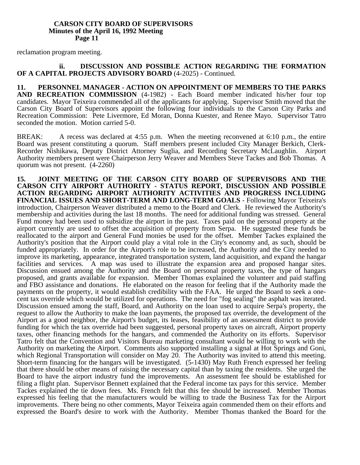reclamation program meeting.

## **ii. DISCUSSION AND POSSIBLE ACTION REGARDING THE FORMATION OF A CAPITAL PROJECTS ADVISORY BOARD** (4-2025) - Continued.

**11. PERSONNEL MANAGER - ACTION ON APPOINTMENT OF MEMBERS TO THE PARKS AND RECREATION COMMISSION** (4-1982) - Each Board member indicated his/her four top candidates. Mayor Teixeira commended all of the applicants for applying. Supervisor Smith moved that the Carson City Board of Supervisors appoint the following four individuals to the Carson City Parks and Recreation Commission: Pete Livermore, Ed Moran, Donna Kuester, and Renee Mayo. Supervisor Tatro seconded the motion. Motion carried 5-0.

BREAK: A recess was declared at 4:55 p.m. When the meeting reconvened at 6:10 p.m., the entire Board was present constituting a quorum. Staff members present included City Manager Berkich, Clerk-Recorder Nishikawa, Deputy District Attorney Suglia, and Recording Secretary McLaughlin. Airport Authority members present were Chairperson Jerry Weaver and Members Steve Tackes and Bob Thomas. A quorum was not present. (4-2260)

**15. JOINT MEETING OF THE CARSON CITY BOARD OF SUPERVISORS AND THE CARSON CITY AIRPORT AUTHORITY - STATUS REPORT, DISCUSSION AND POSSIBLE ACTION REGARDING AIRPORT AUTHORITY ACTIVITIES AND PROGRESS INCLUDING FINANCIAL ISSUES AND SHORT-TERM AND LONG-TERM GOALS** - Following Mayor Teixeira's introduction, Chairperson Weaver distributed a memo to the Board and Clerk. He reviewed the Authority's membership and activities during the last 18 months. The need for additional funding was stressed. General Fund money had been used to subsidize the airport in the past. Taxes paid on the personal property at the airport currently are used to offset the acquisition of property from Serpa. He suggested these funds be reallocated to the airport and General Fund monies be used for the offset. Member Tackes explained the Authority's position that the Airport could play a vital role in the City's economy and, as such, should be funded appropriately. In order for the Airport's role to be increased, the Authority and the City needed to improve its marketing, appearance, integrated transportation system, land acquisition, and expand the hangar facilities and services. A map was used to illustrate the expansion area and proposed hangar sites. Discussion ensued among the Authority and the Board on personal property taxes, the type of hangars proposed, and grants available for expansion. Member Thomas explained the volunteer and paid staffing and FBO assistance and donations. He elaborated on the reason for feeling that if the Authority made the payments on the property, it would establish credibility with the FAA. He urged the Board to seek a onecent tax override which would be utilized for operations. The need for "fog sealing" the asphalt was iterated. Discussion ensued among the staff, Board, and Authority on the loan used to acquire Serpa's property, the request to allow the Authority to make the loan payments, the proposed tax override, the development of the Airport as a good neighbor, the Airport's budget, its leases, feasibility of an assessment district to provide funding for which the tax override had been suggested, personal property taxes on aircraft, Airport property taxes, other financing methods for the hangars, and commended the Authority on its efforts. Supervisor Tatro felt that the Convention and Visitors Bureau marketing consultant would be willing to work with the Authority on marketing the Airport. Comments also supported installing a signal at Hot Springs and Goni, which Regional Transportation will consider on May 20. The Authority was invited to attend this meeting. Short-term financing for the hangars will be investigated. (5-1430) May Ruth French expressed her feeling that there should be other means of raising the necessary capital than by taxing the residents. She urged the Board to have the airport industry fund the improvements. An assessment fee should be established for filing a flight plan. Supervisor Bennett explained that the Federal income tax pays for this service. Member Tackes explained the tie down fees. Ms. French felt that this fee should be increased. Member Thomas expressed his feeling that the manufacturers would be willing to trade the Business Tax for the Airport improvements. There being no other comments, Mayor Teixeira again commended them on their efforts and expressed the Board's desire to work with the Authority. Member Thomas thanked the Board for the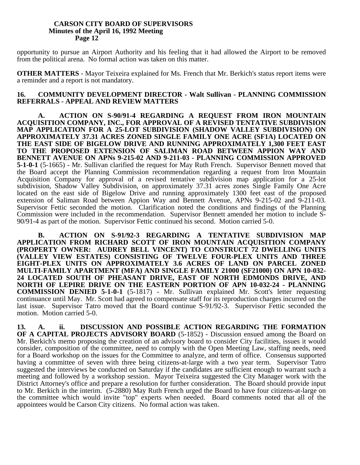opportunity to pursue an Airport Authority and his feeling that it had allowed the Airport to be removed from the political arena. No formal action was taken on this matter.

**OTHER MATTERS** - Mayor Teixeira explained for Ms. French that Mr. Berkich's status report items were a reminder and a report is not mandatory.

## **16. COMMUNITY DEVELOPMENT DIRECTOR - Walt Sullivan - PLANNING COMMISSION REFERRALS - APPEAL AND REVIEW MATTERS**

**A. ACTION ON S-90/91-4 REGARDING A REQUEST FROM IRON MOUNTAIN ACQUISITION COMPANY, INC., FOR APPROVAL OF A REVISED TENTATIVE SUBDIVISION MAP APPLICATION FOR A 25-LOT SUBDIVISION (SHADOW VALLEY SUBDIVISION) ON APPROXIMATELY 37.31 ACRES ZONED SINGLE FAMILY ONE ACRE (SF1A) LOCATED ON THE EAST SIDE OF BIGELOW DRIVE AND RUNNING APPROXIMATELY 1,300 FEET EAST TO THE PROPOSED EXTENSION OF SALIMAN ROAD BETWEEN APPION WAY AND BENNETT AVENUE ON APNs 9-215-02 AND 9-211-03 - PLANNING COMMISSION APPROVED 5-1-0-1** (5-1665) - Mr. Sullivan clarified the request for May Ruth French. Supervisor Bennett moved that the Board accept the Planning Commission recommendation regarding a request from Iron Mountain Acquisition Company for approval of a revised tentative subdivision map application for a 25-lot subdivision, Shadow Valley Subdivision, on approximately 37.31 acres zones Single Family One Acre located on the east side of Bigelow Drive and running approximately 1300 feet east of the proposed extension of Saliman Road between Appion Way and Bennett Avenue, APNs 9-215-02 and 9-211-03. Supervisor Fettic seconded the motion. Clarification noted the conditions and findings of the Planning Commission were included in the recommendation. Supervisor Bennett amended her motion to include S-90/91-4 as part of the motion. Supervisor Fettic continued his second. Motion carried 5-0.

**B. ACTION ON S-91/92-3 REGARDING A TENTATIVE SUBDIVISION MAP APPLICATION FROM RICHARD SCOTT OF IRON MOUNTAIN ACQUISITION COMPANY (PROPERTY OWNER: AUDREY BELL VINCENT) TO CONSTRUCT 72 DWELLING UNITS (VALLEY VIEW ESTATES) CONSISTING OF TWELVE FOUR-PLEX UNITS AND THREE EIGHT-PLEX UNITS ON APPROXIMATELY 3.6 ACRES OF LAND ON PARCEL ZONED MULTI-FAMILY APARTMENT (MFA) AND SINGLE FAMILY 21000 (SF21000) ON APN 10-032- 24 LOCATED SOUTH OF PHEASANT DRIVE, EAST OF NORTH EDMONDS DRIVE, AND NORTH OF LEPIRE DRIVE ON THE EASTERN PORTION OF APN 10-032-24 - PLANNING COMMISSION DENIED 5-1-0-1** (5-1817) - Mr. Sullivan explained Mr. Scott's letter requesting continuance until May. Mr. Scott had agreed to compensate staff for its reproduction charges incurred on the last issue. Supervisor Tatro moved that the Board continue S-91/92-3. Supervisor Fettic seconded the motion. Motion carried 5-0.

**13. A. ii. DISCUSSION AND POSSIBLE ACTION REGARDING THE FORMATION OF A CAPITAL PROJECTS ADVISORY BOARD** (5-1852) - Discussion ensued among the Board on Mr. Berkich's memo proposing the creation of an advisory board to consider City facilities, issues it would consider, composition of the committee, need to comply with the Open Meeting Law, staffing needs, need for a Board workshop on the issues for the Committee to analyze, and term of office. Consensus supported having a committee of seven with three being citizens-at-large with a two year term. Supervisor Tatro suggested the interviews be conducted on Saturday if the candidates are sufficient enough to warrant such a meeting and followed by a workshop session. Mayor Teixeira suggested the City Manager work with the District Attorney's office and prepare a resolution for further consideration. The Board should provide input to Mr. Berkich in the interim. (5-2880) May Ruth French urged the Board to have four citizens-at-large on the committee which would invite "top" experts when needed. Board comments noted that all of the appointees would be Carson City citizens. No formal action was taken.